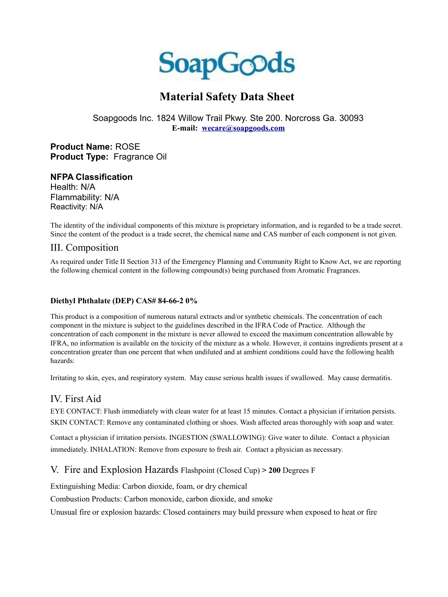

# **Material Safety Data Sheet**

#### Soapgoods Inc. 1824 Willow Trail Pkwy. Ste 200. Norcross Ga. 30093 **E-mail: [wecare@soapgoods.com](mailto:wecare@soapgoods.com)**

**Product Name:** ROSE **Product Type:** Fragrance Oil

#### **NFPA Classification**

Health: N/A Flammability: N/A Reactivity: N/A

The identity of the individual components of this mixture is proprietary information, and is regarded to be a trade secret. Since the content of the product is a trade secret, the chemical name and CAS number of each component is not given.

#### III. Composition

As required under Title II Section 313 of the Emergency Planning and Community Right to Know Act, we are reporting the following chemical content in the following compound(s) being purchased from Aromatic Fragrances.

#### **Diethyl Phthalate (DEP) CAS# 84-66-2 0%**

This product is a composition of numerous natural extracts and/or synthetic chemicals. The concentration of each component in the mixture is subject to the guidelines described in the IFRA Code of Practice. Although the concentration of each component in the mixture is never allowed to exceed the maximum concentration allowable by IFRA, no information is available on the toxicity of the mixture as a whole. However, it contains ingredients present at a concentration greater than one percent that when undiluted and at ambient conditions could have the following health hazards:

Irritating to skin, eyes, and respiratory system. May cause serious health issues if swallowed. May cause dermatitis.

#### IV. First Aid.

EYE CONTACT: Flush immediately with clean water for at least 15 minutes. Contact a physician if irritation persists. SKIN CONTACT: Remove any contaminated clothing or shoes. Wash affected areas thoroughly with soap and water.

Contact a physician if irritation persists. INGESTION (SWALLOWING): Give water to dilute. Contact a physician immediately. INHALATION: Remove from exposure to fresh air. Contact a physician as necessary.

#### V. Fire and Explosion Hazards Flashpoint (Closed Cup) **> 200** Degrees F

Extinguishing Media: Carbon dioxide, foam, or dry chemical

Combustion Products: Carbon monoxide, carbon dioxide, and smoke

Unusual fire or explosion hazards: Closed containers may build pressure when exposed to heat or fire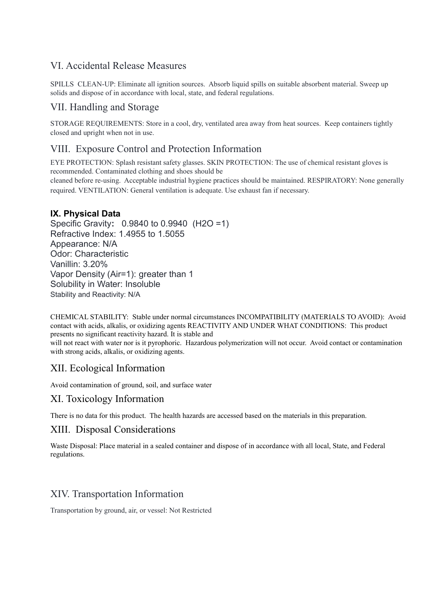# VI. Accidental Release Measures

SPILLS CLEAN-UP: Eliminate all ignition sources. Absorb liquid spills on suitable absorbent material. Sweep up solids and dispose of in accordance with local, state, and federal regulations.

## VII. Handling and Storage

STORAGE REQUIREMENTS: Store in a cool, dry, ventilated area away from heat sources. Keep containers tightly closed and upright when not in use.

#### VIII. Exposure Control and Protection Information

EYE PROTECTION: Splash resistant safety glasses. SKIN PROTECTION: The use of chemical resistant gloves is recommended. Contaminated clothing and shoes should be cleaned before re-using. Acceptable industrial hygiene practices should be maintained. RESPIRATORY: None generally required. VENTILATION: General ventilation is adequate. Use exhaust fan if necessary.

#### **IX. Physical Data**

Specific Gravity**:** 0.9840 to 0.9940 (H2O =1) Refractive Index: 1.4955 to 1.5055 Appearance: N/A Odor: Characteristic Vanillin: 3.20% Vapor Density (Air=1): greater than 1 Solubility in Water: Insoluble Stability and Reactivity: N/A

CHEMICAL STABILITY: Stable under normal circumstances INCOMPATIBILITY (MATERIALS TO AVOID): Avoid contact with acids, alkalis, or oxidizing agents REACTIVITY AND UNDER WHAT CONDITIONS: This product presents no significant reactivity hazard. It is stable and

will not react with water nor is it pyrophoric. Hazardous polymerization will not occur. Avoid contact or contamination with strong acids, alkalis, or oxidizing agents.

# XII. Ecological Information

Avoid contamination of ground, soil, and surface water

#### XI. Toxicology Information

There is no data for this product. The health hazards are accessed based on the materials in this preparation.

# XIII. Disposal Considerations

Waste Disposal: Place material in a sealed container and dispose of in accordance with all local, State, and Federal regulations.

# XIV. Transportation Information

Transportation by ground, air, or vessel: Not Restricted